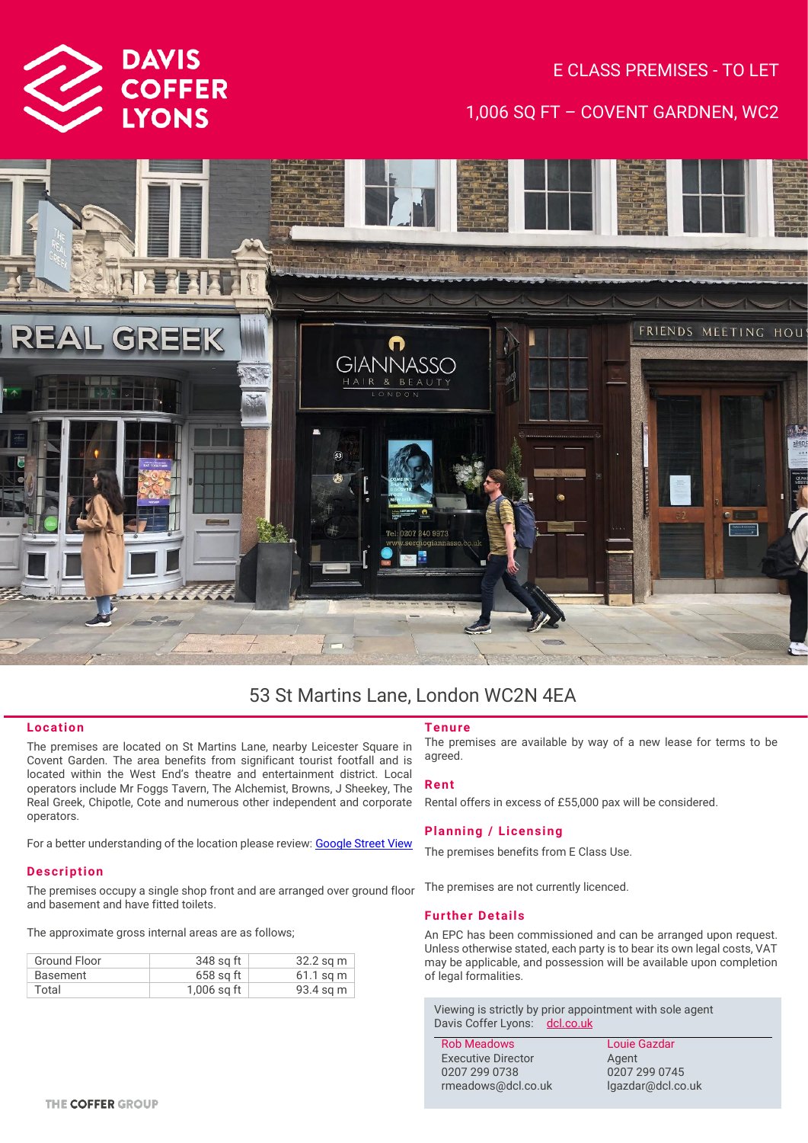

# E CLASS PREMISES - TO LET

# 1,006 SQ FT – COVENT GARDNEN, WC2



# 53 St Martins Lane, London WC2N 4EA

# **Location**

The premises are located on St Martins Lane, nearby Leicester Square in Covent Garden. The area benefits from significant tourist footfall and is located within the West End's theatre and entertainment district. Local operators include Mr Foggs Tavern, The Alchemist, Browns, J Sheekey, The Real Greek, Chipotle, Cote and numerous other independent and corporate operators.

For a better understanding of the location please review[: Google Street View](https://www.google.com/maps/place/53+St+Martin)

#### **Description**

The premises occupy a single shop front and are arranged over ground floor and basement and have fitted toilets.

The approximate gross internal areas are as follows;

| Ground Floor | 348 sq ft   | 32.2 sq m   |
|--------------|-------------|-------------|
| Basement     | $658$ sq ft | $61.1$ sq m |
| Total        | 1,006 sq ft | 93.4 sg m   |

#### **Tenure**

The premises are available by way of a new lease for terms to be agreed.

## **Rent**

Rental offers in excess of £55,000 pax will be considered.

## **Planning / Licensing**

The premises benefits from E Class Use.

The premises are not currently licenced.

## **Further Details**

An EPC has been commissioned and can be arranged upon request. Unless otherwise stated, each party is to bear its own legal costs, VAT may be applicable, and possession will be available upon completion of legal formalities.

Viewing is strictly by prior appointment with sole agent Davis Coffer Lyons: [dcl.co.uk](http://www.dcl.co.uk/)

Rob Meadows Executive Director 0207 299 0738 rmeadows@dcl.co.uk Louie Gazdar Agent 0207 299 0745 lgazdar@dcl.co.uk